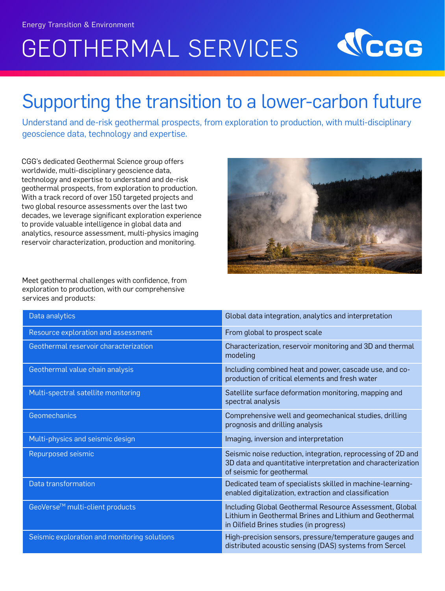# GEOTHERMAL SERVICES



### Supporting the transition to a lower-carbon future

Understand and de-risk geothermal prospects, from exploration to production, with multi-disciplinary geoscience data, technology and expertise.

CGG's dedicated Geothermal Science group offers worldwide, multi-disciplinary geoscience data, technology and expertise to understand and de-risk geothermal prospects, from exploration to production. With a track record of over 150 targeted projects and two global resource assessments over the last two decades, we leverage significant exploration experience to provide valuable intelligence in global data and analytics, resource assessment, multi-physics imaging reservoir characterization, production and monitoring.



Meet geothermal challenges with confidence, from exploration to production, with our comprehensive services and products:

| Data analytics                               | Global data integration, analytics and interpretation                                                                                                          |
|----------------------------------------------|----------------------------------------------------------------------------------------------------------------------------------------------------------------|
| Resource exploration and assessment          | From global to prospect scale                                                                                                                                  |
| Geothermal reservoir characterization        | Characterization, reservoir monitoring and 3D and thermal<br>modeling                                                                                          |
| Geothermal value chain analysis              | Including combined heat and power, cascade use, and co-<br>production of critical elements and fresh water                                                     |
| Multi-spectral satellite monitoring          | Satellite surface deformation monitoring, mapping and<br>spectral analysis                                                                                     |
| Geomechanics                                 | Comprehensive well and geomechanical studies, drilling<br>prognosis and drilling analysis                                                                      |
| Multi-physics and seismic design             | Imaging, inversion and interpretation                                                                                                                          |
| Repurposed seismic                           | Seismic noise reduction, integration, reprocessing of 2D and<br>3D data and quantitative interpretation and characterization<br>of seismic for geothermal      |
| Data transformation                          | Dedicated team of specialists skilled in machine-learning-<br>enabled digitalization, extraction and classification                                            |
| GeoVerse <sup>™</sup> multi-client products  | Including Global Geothermal Resource Assessment, Global<br>Lithium in Geothermal Brines and Lithium and Geothermal<br>in Oilfield Brines studies (in progress) |
| Seismic exploration and monitoring solutions | High-precision sensors, pressure/temperature gauges and<br>distributed acoustic sensing (DAS) systems from Sercel                                              |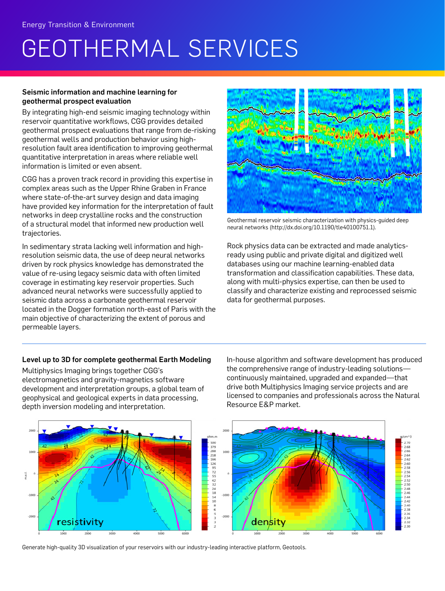## GEOTHERMAL SERVICES

#### Seismic information and machine learning for geothermal prospect evaluation

By integrating high-end seismic imaging technology within reservoir quantitative workflows, CGG provides detailed geothermal prospect evaluations that range from de-risking geothermal wells and production behavior using highresolution fault area identification to improving geothermal quantitative interpretation in areas where reliable well information is limited or even absent.

CGG has a proven track record in providing this expertise in complex areas such as the Upper Rhine Graben in France where state-of-the-art survey design and data imaging have provided key information for the interpretation of fault networks in deep crystalline rocks and the construction of a structural model that informed new production well trajectories.

In sedimentary strata lacking well information and highresolution seismic data, the use of deep neural networks driven by rock physics knowledge has demonstrated the value of re-using legacy seismic data with often limited coverage in estimating key reservoir properties. Such advanced neural networks were successfully applied to seismic data across a carbonate geothermal reservoir located in the Dogger formation north-east of Paris with the main objective of characterizing the extent of porous and permeable layers.



Geothermal reservoir seismic characterization with physics-guided deep neural networks (http://dx.doi.org/10.1190/tle40100751.1).

Rock physics data can be extracted and made analyticsready using public and private digital and digitized well databases using our machine learning-enabled data transformation and classification capabilities. These data, along with multi-physics expertise, can then be used to classify and characterize existing and reprocessed seismic data for geothermal purposes.

#### Level up to 3D for complete geothermal Earth Modeling

Multiphysics Imaging brings together CGG's electromagnetics and gravity-magnetics software development and interpretation groups, a global team of geophysical and geological experts in data processing, depth inversion modeling and interpretation.

In-house algorithm and software development has produced the comprehensive range of industry-leading solutions continuously maintained, upgraded and expanded—that drive both Multiphysics Imaging service projects and are licensed to companies and professionals across the Natural Resource E&P market.



Generate high-quality 3D visualization of your reservoirs with our industry-leading interactive platform, Geotools.